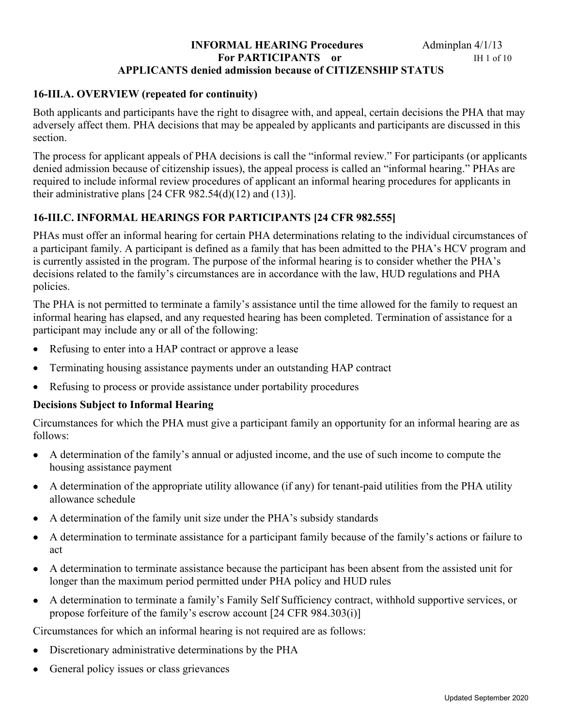# **INFORMAL HEARING Procedures** Adminplan 4/1/13 **For PARTICIPANTS** or **IH 1 of 10 APPLICANTS denied admission because of CITIZENSHIP STATUS**

# **16-III.A. OVERVIEW (repeated for continuity)**

Both applicants and participants have the right to disagree with, and appeal, certain decisions the PHA that may adversely affect them. PHA decisions that may be appealed by applicants and participants are discussed in this section.

The process for applicant appeals of PHA decisions is call the "informal review." For participants (or applicants denied admission because of citizenship issues), the appeal process is called an "informal hearing." PHAs are required to include informal review procedures of applicant an informal hearing procedures for applicants in their administrative plans  $[24 \text{ CFR } 982.54(d)(12)$  and  $(13)$ ].

# **16-III.C. INFORMAL HEARINGS FOR PARTICIPANTS [24 CFR 982.555]**

PHAs must offer an informal hearing for certain PHA determinations relating to the individual circumstances of a participant family. A participant is defined as a family that has been admitted to the PHA's HCV program and is currently assisted in the program. The purpose of the informal hearing is to consider whether the PHA's decisions related to the family's circumstances are in accordance with the law, HUD regulations and PHA policies.

The PHA is not permitted to terminate a family's assistance until the time allowed for the family to request an informal hearing has elapsed, and any requested hearing has been completed. Termination of assistance for a participant may include any or all of the following:

- Refusing to enter into a HAP contract or approve a lease
- Terminating housing assistance payments under an outstanding HAP contract
- Refusing to process or provide assistance under portability procedures

# **Decisions Subject to Informal Hearing**

Circumstances for which the PHA must give a participant family an opportunity for an informal hearing are as follows:

- A determination of the family's annual or adjusted income, and the use of such income to compute the housing assistance payment
- A determination of the appropriate utility allowance (if any) for tenant-paid utilities from the PHA utility allowance schedule
- A determination of the family unit size under the PHA's subsidy standards
- A determination to terminate assistance for a participant family because of the family's actions or failure to act
- A determination to terminate assistance because the participant has been absent from the assisted unit for longer than the maximum period permitted under PHA policy and HUD rules
- A determination to terminate a family's Family Self Sufficiency contract, withhold supportive services, or propose forfeiture of the family's escrow account [24 CFR 984.303(i)]

Circumstances for which an informal hearing is not required are as follows:

- Discretionary administrative determinations by the PHA
- General policy issues or class grievances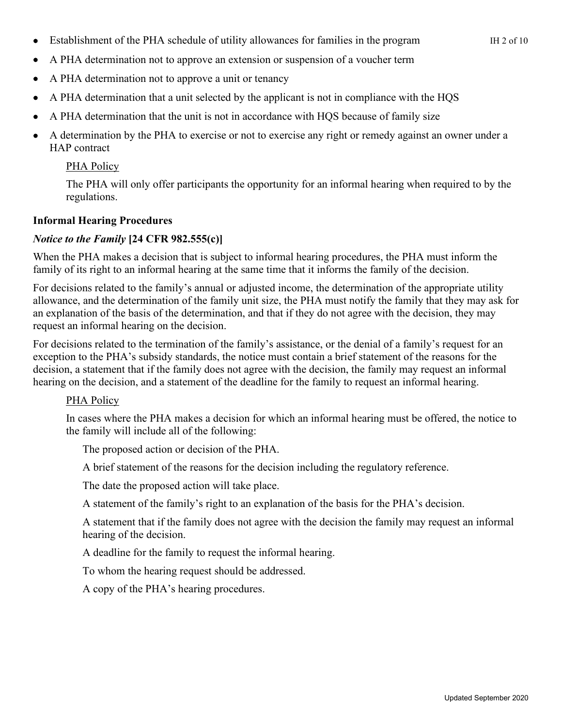- Establishment of the PHA schedule of utility allowances for families in the program IH 2 of 10
- A PHA determination not to approve an extension or suspension of a voucher term
- A PHA determination not to approve a unit or tenancy
- A PHA determination that a unit selected by the applicant is not in compliance with the HQS
- A PHA determination that the unit is not in accordance with HQS because of family size
- A determination by the PHA to exercise or not to exercise any right or remedy against an owner under a HAP contract

# PHA Policy

The PHA will only offer participants the opportunity for an informal hearing when required to by the regulations.

# **Informal Hearing Procedures**

# *Notice to the Family* **[24 CFR 982.555(c)]**

When the PHA makes a decision that is subject to informal hearing procedures, the PHA must inform the family of its right to an informal hearing at the same time that it informs the family of the decision.

For decisions related to the family's annual or adjusted income, the determination of the appropriate utility allowance, and the determination of the family unit size, the PHA must notify the family that they may ask for an explanation of the basis of the determination, and that if they do not agree with the decision, they may request an informal hearing on the decision.

For decisions related to the termination of the family's assistance, or the denial of a family's request for an exception to the PHA's subsidy standards, the notice must contain a brief statement of the reasons for the decision, a statement that if the family does not agree with the decision, the family may request an informal hearing on the decision, and a statement of the deadline for the family to request an informal hearing.

# PHA Policy

In cases where the PHA makes a decision for which an informal hearing must be offered, the notice to the family will include all of the following:

The proposed action or decision of the PHA.

A brief statement of the reasons for the decision including the regulatory reference.

The date the proposed action will take place.

A statement of the family's right to an explanation of the basis for the PHA's decision.

A statement that if the family does not agree with the decision the family may request an informal hearing of the decision.

A deadline for the family to request the informal hearing.

To whom the hearing request should be addressed.

A copy of the PHA's hearing procedures.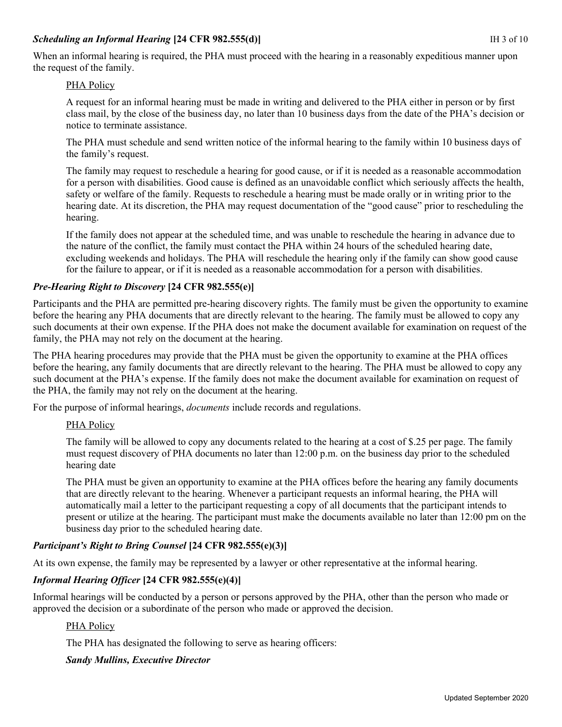### **Scheduling an Informal Hearing [24 CFR 982.555(d)] IH 3 of 10 IH 3 of 10**

When an informal hearing is required, the PHA must proceed with the hearing in a reasonably expeditious manner upon the request of the family.

# PHA Policy

A request for an informal hearing must be made in writing and delivered to the PHA either in person or by first class mail, by the close of the business day, no later than 10 business days from the date of the PHA's decision or notice to terminate assistance.

The PHA must schedule and send written notice of the informal hearing to the family within 10 business days of the family's request.

The family may request to reschedule a hearing for good cause, or if it is needed as a reasonable accommodation for a person with disabilities. Good cause is defined as an unavoidable conflict which seriously affects the health, safety or welfare of the family. Requests to reschedule a hearing must be made orally or in writing prior to the hearing date. At its discretion, the PHA may request documentation of the "good cause" prior to rescheduling the hearing.

If the family does not appear at the scheduled time, and was unable to reschedule the hearing in advance due to the nature of the conflict, the family must contact the PHA within 24 hours of the scheduled hearing date, excluding weekends and holidays. The PHA will reschedule the hearing only if the family can show good cause for the failure to appear, or if it is needed as a reasonable accommodation for a person with disabilities.

# *Pre-Hearing Right to Discovery* **[24 CFR 982.555(e)]**

Participants and the PHA are permitted pre-hearing discovery rights. The family must be given the opportunity to examine before the hearing any PHA documents that are directly relevant to the hearing. The family must be allowed to copy any such documents at their own expense. If the PHA does not make the document available for examination on request of the family, the PHA may not rely on the document at the hearing.

The PHA hearing procedures may provide that the PHA must be given the opportunity to examine at the PHA offices before the hearing, any family documents that are directly relevant to the hearing. The PHA must be allowed to copy any such document at the PHA's expense. If the family does not make the document available for examination on request of the PHA, the family may not rely on the document at the hearing.

For the purpose of informal hearings, *documents* include records and regulations.

# PHA Policy

The family will be allowed to copy any documents related to the hearing at a cost of \$.25 per page. The family must request discovery of PHA documents no later than 12:00 p.m. on the business day prior to the scheduled hearing date

The PHA must be given an opportunity to examine at the PHA offices before the hearing any family documents that are directly relevant to the hearing. Whenever a participant requests an informal hearing, the PHA will automatically mail a letter to the participant requesting a copy of all documents that the participant intends to present or utilize at the hearing. The participant must make the documents available no later than 12:00 pm on the business day prior to the scheduled hearing date.

# *Participant's Right to Bring Counsel* **[24 CFR 982.555(e)(3)]**

At its own expense, the family may be represented by a lawyer or other representative at the informal hearing.

# *Informal Hearing Officer* **[24 CFR 982.555(e)(4)]**

Informal hearings will be conducted by a person or persons approved by the PHA, other than the person who made or approved the decision or a subordinate of the person who made or approved the decision.

# PHA Policy

The PHA has designated the following to serve as hearing officers:

# *Sandy Mullins, Executive Director*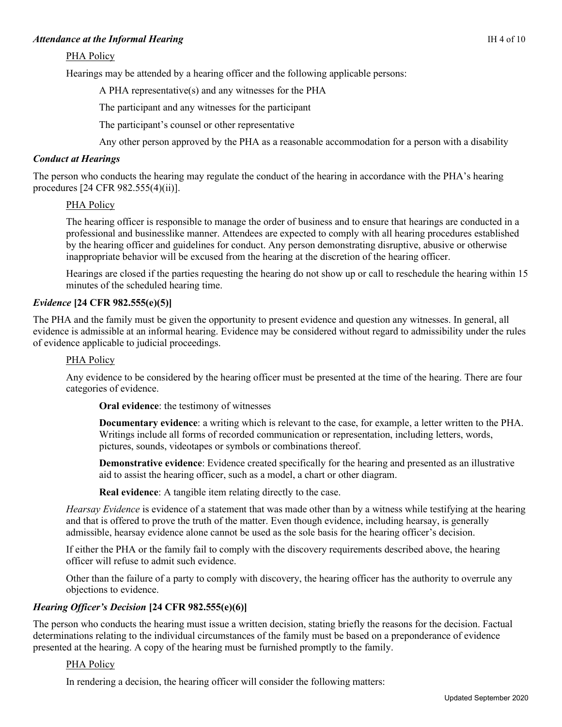#### Attendance at the Informal Hearing **IM 4 of 10** and the Informal Hearing **IM 4 of 10**

#### PHA Policy

Hearings may be attended by a hearing officer and the following applicable persons:

A PHA representative(s) and any witnesses for the PHA

The participant and any witnesses for the participant

The participant's counsel or other representative

Any other person approved by the PHA as a reasonable accommodation for a person with a disability

#### *Conduct at Hearings*

The person who conducts the hearing may regulate the conduct of the hearing in accordance with the PHA's hearing procedures [24 CFR 982.555(4)(ii)].

#### PHA Policy

The hearing officer is responsible to manage the order of business and to ensure that hearings are conducted in a professional and businesslike manner. Attendees are expected to comply with all hearing procedures established by the hearing officer and guidelines for conduct. Any person demonstrating disruptive, abusive or otherwise inappropriate behavior will be excused from the hearing at the discretion of the hearing officer.

Hearings are closed if the parties requesting the hearing do not show up or call to reschedule the hearing within 15 minutes of the scheduled hearing time.

#### *Evidence* **[24 CFR 982.555(e)(5)]**

The PHA and the family must be given the opportunity to present evidence and question any witnesses. In general, all evidence is admissible at an informal hearing. Evidence may be considered without regard to admissibility under the rules of evidence applicable to judicial proceedings.

#### PHA Policy

Any evidence to be considered by the hearing officer must be presented at the time of the hearing. There are four categories of evidence.

**Oral evidence**: the testimony of witnesses

**Documentary evidence**: a writing which is relevant to the case, for example, a letter written to the PHA. Writings include all forms of recorded communication or representation, including letters, words, pictures, sounds, videotapes or symbols or combinations thereof.

**Demonstrative evidence**: Evidence created specifically for the hearing and presented as an illustrative aid to assist the hearing officer, such as a model, a chart or other diagram.

**Real evidence**: A tangible item relating directly to the case.

*Hearsay Evidence* is evidence of a statement that was made other than by a witness while testifying at the hearing and that is offered to prove the truth of the matter. Even though evidence, including hearsay, is generally admissible, hearsay evidence alone cannot be used as the sole basis for the hearing officer's decision.

If either the PHA or the family fail to comply with the discovery requirements described above, the hearing officer will refuse to admit such evidence.

Other than the failure of a party to comply with discovery, the hearing officer has the authority to overrule any objections to evidence.

# *Hearing Officer's Decision* **[24 CFR 982.555(e)(6)]**

The person who conducts the hearing must issue a written decision, stating briefly the reasons for the decision. Factual determinations relating to the individual circumstances of the family must be based on a preponderance of evidence presented at the hearing. A copy of the hearing must be furnished promptly to the family.

#### PHA Policy

In rendering a decision, the hearing officer will consider the following matters: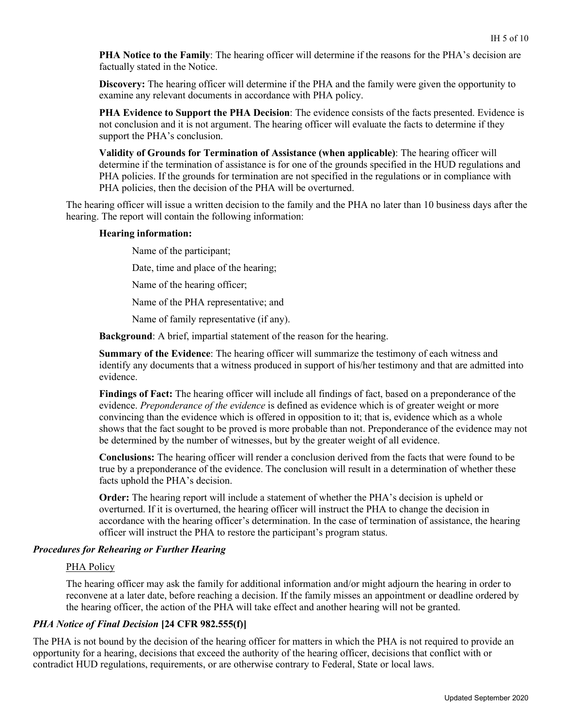**PHA Notice to the Family**: The hearing officer will determine if the reasons for the PHA's decision are factually stated in the Notice.

**Discovery:** The hearing officer will determine if the PHA and the family were given the opportunity to examine any relevant documents in accordance with PHA policy.

**PHA Evidence to Support the PHA Decision**: The evidence consists of the facts presented. Evidence is not conclusion and it is not argument. The hearing officer will evaluate the facts to determine if they support the PHA's conclusion.

**Validity of Grounds for Termination of Assistance (when applicable)**: The hearing officer will determine if the termination of assistance is for one of the grounds specified in the HUD regulations and PHA policies. If the grounds for termination are not specified in the regulations or in compliance with PHA policies, then the decision of the PHA will be overturned.

The hearing officer will issue a written decision to the family and the PHA no later than 10 business days after the hearing. The report will contain the following information:

#### **Hearing information:**

Name of the participant;

Date, time and place of the hearing;

Name of the hearing officer;

Name of the PHA representative; and

Name of family representative (if any).

**Background**: A brief, impartial statement of the reason for the hearing.

**Summary of the Evidence**: The hearing officer will summarize the testimony of each witness and identify any documents that a witness produced in support of his/her testimony and that are admitted into evidence.

**Findings of Fact:** The hearing officer will include all findings of fact, based on a preponderance of the evidence. *Preponderance of the evidence* is defined as evidence which is of greater weight or more convincing than the evidence which is offered in opposition to it; that is, evidence which as a whole shows that the fact sought to be proved is more probable than not. Preponderance of the evidence may not be determined by the number of witnesses, but by the greater weight of all evidence.

**Conclusions:** The hearing officer will render a conclusion derived from the facts that were found to be true by a preponderance of the evidence. The conclusion will result in a determination of whether these facts uphold the PHA's decision.

**Order:** The hearing report will include a statement of whether the PHA's decision is upheld or overturned. If it is overturned, the hearing officer will instruct the PHA to change the decision in accordance with the hearing officer's determination. In the case of termination of assistance, the hearing officer will instruct the PHA to restore the participant's program status.

#### *Procedures for Rehearing or Further Hearing*

#### PHA Policy

The hearing officer may ask the family for additional information and/or might adjourn the hearing in order to reconvene at a later date, before reaching a decision. If the family misses an appointment or deadline ordered by the hearing officer, the action of the PHA will take effect and another hearing will not be granted.

#### *PHA Notice of Final Decision* **[24 CFR 982.555(f)]**

The PHA is not bound by the decision of the hearing officer for matters in which the PHA is not required to provide an opportunity for a hearing, decisions that exceed the authority of the hearing officer, decisions that conflict with or contradict HUD regulations, requirements, or are otherwise contrary to Federal, State or local laws.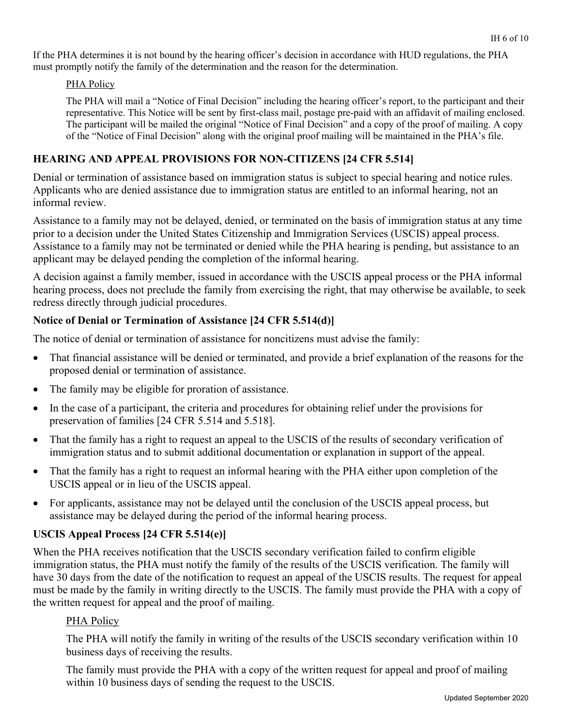If the PHA determines it is not bound by the hearing officer's decision in accordance with HUD regulations, the PHA must promptly notify the family of the determination and the reason for the determination.

# PHA Policy

The PHA will mail a "Notice of Final Decision" including the hearing officer's report, to the participant and their representative. This Notice will be sent by first-class mail, postage pre-paid with an affidavit of mailing enclosed. The participant will be mailed the original "Notice of Final Decision" and a copy of the proof of mailing. A copy of the "Notice of Final Decision" along with the original proof mailing will be maintained in the PHA's file.

# **HEARING AND APPEAL PROVISIONS FOR NON-CITIZENS [24 CFR 5.514]**

Denial or termination of assistance based on immigration status is subject to special hearing and notice rules. Applicants who are denied assistance due to immigration status are entitled to an informal hearing, not an informal review.

Assistance to a family may not be delayed, denied, or terminated on the basis of immigration status at any time prior to a decision under the United States Citizenship and Immigration Services (USCIS) appeal process. Assistance to a family may not be terminated or denied while the PHA hearing is pending, but assistance to an applicant may be delayed pending the completion of the informal hearing.

A decision against a family member, issued in accordance with the USCIS appeal process or the PHA informal hearing process, does not preclude the family from exercising the right, that may otherwise be available, to seek redress directly through judicial procedures.

# **Notice of Denial or Termination of Assistance [24 CFR 5.514(d)]**

The notice of denial or termination of assistance for noncitizens must advise the family:

- That financial assistance will be denied or terminated, and provide a brief explanation of the reasons for the proposed denial or termination of assistance.
- The family may be eligible for proration of assistance.
- In the case of a participant, the criteria and procedures for obtaining relief under the provisions for preservation of families [24 CFR 5.514 and 5.518].
- That the family has a right to request an appeal to the USCIS of the results of secondary verification of immigration status and to submit additional documentation or explanation in support of the appeal.
- That the family has a right to request an informal hearing with the PHA either upon completion of the USCIS appeal or in lieu of the USCIS appeal.
- For applicants, assistance may not be delayed until the conclusion of the USCIS appeal process, but assistance may be delayed during the period of the informal hearing process.

# **USCIS Appeal Process [24 CFR 5.514(e)]**

When the PHA receives notification that the USCIS secondary verification failed to confirm eligible immigration status, the PHA must notify the family of the results of the USCIS verification. The family will have 30 days from the date of the notification to request an appeal of the USCIS results. The request for appeal must be made by the family in writing directly to the USCIS. The family must provide the PHA with a copy of the written request for appeal and the proof of mailing.

# PHA Policy

The PHA will notify the family in writing of the results of the USCIS secondary verification within 10 business days of receiving the results.

The family must provide the PHA with a copy of the written request for appeal and proof of mailing within 10 business days of sending the request to the USCIS.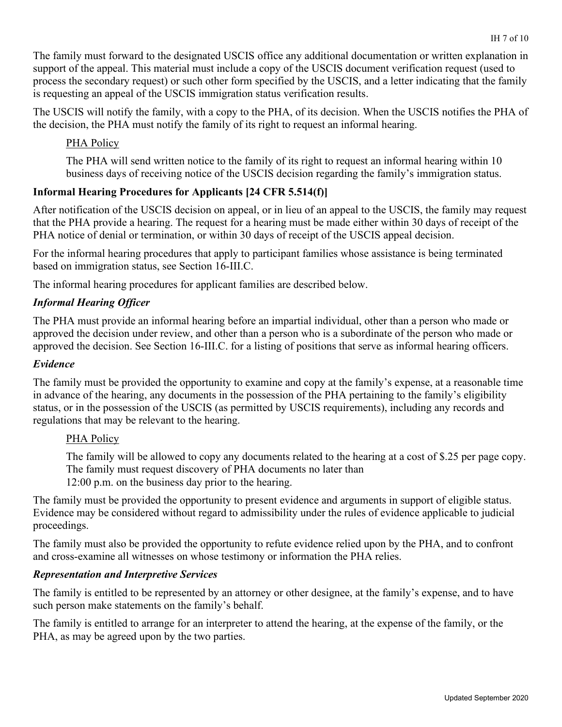The family must forward to the designated USCIS office any additional documentation or written explanation in support of the appeal. This material must include a copy of the USCIS document verification request (used to process the secondary request) or such other form specified by the USCIS, and a letter indicating that the family is requesting an appeal of the USCIS immigration status verification results.

The USCIS will notify the family, with a copy to the PHA, of its decision. When the USCIS notifies the PHA of the decision, the PHA must notify the family of its right to request an informal hearing.

# PHA Policy

The PHA will send written notice to the family of its right to request an informal hearing within 10 business days of receiving notice of the USCIS decision regarding the family's immigration status.

# **Informal Hearing Procedures for Applicants [24 CFR 5.514(f)]**

After notification of the USCIS decision on appeal, or in lieu of an appeal to the USCIS, the family may request that the PHA provide a hearing. The request for a hearing must be made either within 30 days of receipt of the PHA notice of denial or termination, or within 30 days of receipt of the USCIS appeal decision.

For the informal hearing procedures that apply to participant families whose assistance is being terminated based on immigration status, see Section 16-III.C.

The informal hearing procedures for applicant families are described below.

# *Informal Hearing Officer*

The PHA must provide an informal hearing before an impartial individual, other than a person who made or approved the decision under review, and other than a person who is a subordinate of the person who made or approved the decision. See Section 16-III.C. for a listing of positions that serve as informal hearing officers.

# *Evidence*

The family must be provided the opportunity to examine and copy at the family's expense, at a reasonable time in advance of the hearing, any documents in the possession of the PHA pertaining to the family's eligibility status, or in the possession of the USCIS (as permitted by USCIS requirements), including any records and regulations that may be relevant to the hearing.

# PHA Policy

The family will be allowed to copy any documents related to the hearing at a cost of \$.25 per page copy. The family must request discovery of PHA documents no later than 12:00 p.m. on the business day prior to the hearing.

The family must be provided the opportunity to present evidence and arguments in support of eligible status. Evidence may be considered without regard to admissibility under the rules of evidence applicable to judicial proceedings.

The family must also be provided the opportunity to refute evidence relied upon by the PHA, and to confront and cross-examine all witnesses on whose testimony or information the PHA relies.

# *Representation and Interpretive Services*

The family is entitled to be represented by an attorney or other designee, at the family's expense, and to have such person make statements on the family's behalf.

The family is entitled to arrange for an interpreter to attend the hearing, at the expense of the family, or the PHA, as may be agreed upon by the two parties.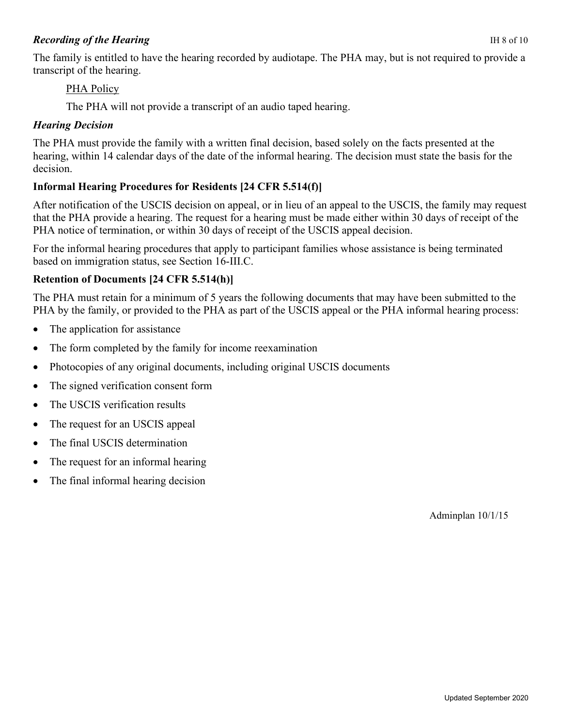# *Recording of the Hearing* IH 8 of 10

The family is entitled to have the hearing recorded by audiotape. The PHA may, but is not required to provide a transcript of the hearing.

# PHA Policy

The PHA will not provide a transcript of an audio taped hearing.

# *Hearing Decision*

The PHA must provide the family with a written final decision, based solely on the facts presented at the hearing, within 14 calendar days of the date of the informal hearing. The decision must state the basis for the decision.

# **Informal Hearing Procedures for Residents [24 CFR 5.514(f)]**

After notification of the USCIS decision on appeal, or in lieu of an appeal to the USCIS, the family may request that the PHA provide a hearing. The request for a hearing must be made either within 30 days of receipt of the PHA notice of termination, or within 30 days of receipt of the USCIS appeal decision.

For the informal hearing procedures that apply to participant families whose assistance is being terminated based on immigration status, see Section 16-III.C.

# **Retention of Documents [24 CFR 5.514(h)]**

The PHA must retain for a minimum of 5 years the following documents that may have been submitted to the PHA by the family, or provided to the PHA as part of the USCIS appeal or the PHA informal hearing process:

- The application for assistance
- The form completed by the family for income reexamination
- Photocopies of any original documents, including original USCIS documents
- The signed verification consent form
- The USCIS verification results
- The request for an USCIS appeal
- The final USCIS determination
- The request for an informal hearing
- The final informal hearing decision

Adminplan 10/1/15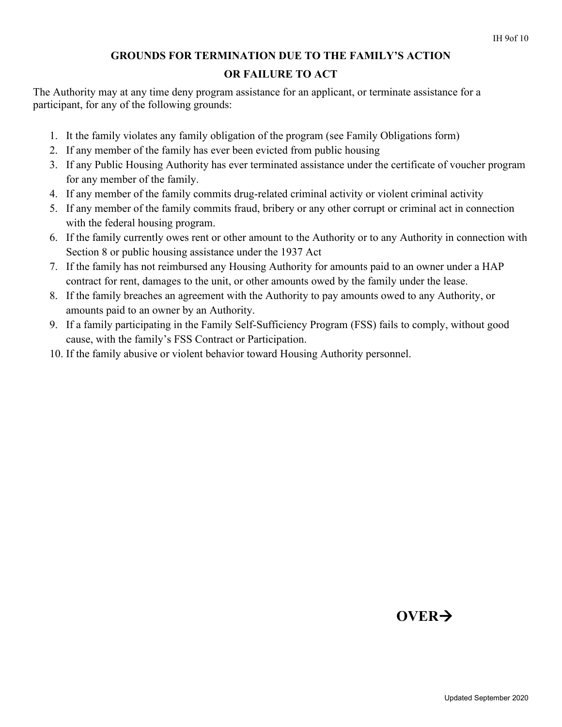# **GROUNDS FOR TERMINATION DUE TO THE FAMILY'S ACTION**

# **OR FAILURE TO ACT**

The Authority may at any time deny program assistance for an applicant, or terminate assistance for a participant, for any of the following grounds:

- 1. It the family violates any family obligation of the program (see Family Obligations form)
- 2. If any member of the family has ever been evicted from public housing
- 3. If any Public Housing Authority has ever terminated assistance under the certificate of voucher program for any member of the family.
- 4. If any member of the family commits drug-related criminal activity or violent criminal activity
- 5. If any member of the family commits fraud, bribery or any other corrupt or criminal act in connection with the federal housing program.
- 6. If the family currently owes rent or other amount to the Authority or to any Authority in connection with Section 8 or public housing assistance under the 1937 Act
- 7. If the family has not reimbursed any Housing Authority for amounts paid to an owner under a HAP contract for rent, damages to the unit, or other amounts owed by the family under the lease.
- 8. If the family breaches an agreement with the Authority to pay amounts owed to any Authority, or amounts paid to an owner by an Authority.
- 9. If a family participating in the Family Self-Sufficiency Program (FSS) fails to comply, without good cause, with the family's FSS Contract or Participation.
- 10. If the family abusive or violent behavior toward Housing Authority personnel.

# **OVER**